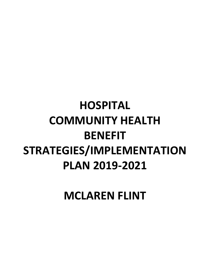# **HOSPITAL COMMUNITY HEALTH BENEFIT STRATEGIES/IMPLEMENTATION PLAN 2019-2021**

**MCLAREN FLINT**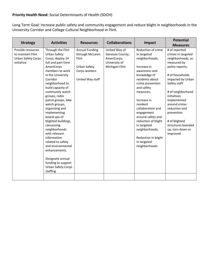## **Priority Health Need:** Social Determinants of Health (SDOH)

Long Term Goal: Increase public safety and community engagement and reduce blight in neighborhoods in the University Corridor and College Cultural Neighborhood in Flint.

| <b>Strategy</b>                                                                   | <b>Activities</b>                                                                                                                                                                                                                                                                                                                                                                                                                                                                                                                                | <b>Resources</b>                                                                                       | <b>Collaborations</b>                                                              | Impact                                                                                                                                                                                                                                                                                                                                                                  | <b>Potential</b>                                                                                                                                                                                                                                                                                                             |
|-----------------------------------------------------------------------------------|--------------------------------------------------------------------------------------------------------------------------------------------------------------------------------------------------------------------------------------------------------------------------------------------------------------------------------------------------------------------------------------------------------------------------------------------------------------------------------------------------------------------------------------------------|--------------------------------------------------------------------------------------------------------|------------------------------------------------------------------------------------|-------------------------------------------------------------------------------------------------------------------------------------------------------------------------------------------------------------------------------------------------------------------------------------------------------------------------------------------------------------------------|------------------------------------------------------------------------------------------------------------------------------------------------------------------------------------------------------------------------------------------------------------------------------------------------------------------------------|
|                                                                                   |                                                                                                                                                                                                                                                                                                                                                                                                                                                                                                                                                  |                                                                                                        |                                                                                    |                                                                                                                                                                                                                                                                                                                                                                         | <b>Measures</b>                                                                                                                                                                                                                                                                                                              |
| Provide resources<br>to maintain Flint<br><b>Urban Safety Corps</b><br>initiative | Through the Flint<br>Urban Safety<br>Corps, deploy 14<br>full and part-time<br>AmeriCorps<br>members to work<br>in the University<br>Corridor<br>neighborhood to<br>build capacity of<br>community watch<br>groups, radio<br>patrol groups, bike<br>watch groups,<br>organizing and<br>implementing<br>board-ups of<br>blighted buildings,<br>canvassing<br>neighborhoods<br>with relevant<br>information<br>related to safety<br>and environmental<br>enhancements.<br>Designate annual<br>funding to support<br>Urban Safety Corps<br>staffing | <b>Annual Funding</b><br>through McLaren<br>Flint<br>Urban Safety<br>Corps workers<br>United Way staff | United Way of<br>Genesee County;<br>AmeriCorps;<br>University of<br>Michigan-Flint | Reduction of crime<br>in targeted<br>neighborhoods;<br>Increase in<br>awareness and<br>knowledge of<br>residents about<br>crime prevention<br>and safety<br>measures;<br>Increase in<br>resident<br>collaboration and<br>engagement<br>around safety and<br>reduction of blight<br>in targeted<br>neighborhoods;<br>Reduction in blight<br>in targeted<br>neighborhoods | # of reported<br>crimes in targeted<br>neighborhoods, as<br>measured by<br>police reports;<br># of households<br>impacted by Urban<br>Safety staff<br># of neighborhood<br>initiatives<br>Implemented<br>around crime-<br>reduction and<br>prevention<br># of blighted<br>structures boarded<br>up, torn down or<br>improved |
|                                                                                   |                                                                                                                                                                                                                                                                                                                                                                                                                                                                                                                                                  |                                                                                                        |                                                                                    |                                                                                                                                                                                                                                                                                                                                                                         |                                                                                                                                                                                                                                                                                                                              |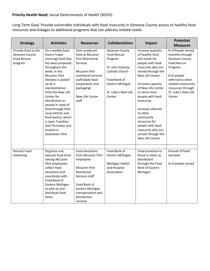### **Priority Health Need:** Social Determinants of Health (SDOH)

Long Term Goal: Provide vulnerable individuals with food insecurity in Genesee County access to healthy food resources and linkages to additional programs that can address related needs.

| <b>Strategy</b>                                                               | <b>Activities</b>                                                                                                                                                                                                                                                                                                                                                                                              | <b>Resources</b>                                                                                                                                                                                           | <b>Collaborations</b>                                                                                                                                       | Impact                                                                                                                                                                                                                                                                                                                                                                                       | <b>Potential</b><br><b>Measures</b>                                                                                                                                                                             |
|-------------------------------------------------------------------------------|----------------------------------------------------------------------------------------------------------------------------------------------------------------------------------------------------------------------------------------------------------------------------------------------------------------------------------------------------------------------------------------------------------------|------------------------------------------------------------------------------------------------------------------------------------------------------------------------------------------------------------|-------------------------------------------------------------------------------------------------------------------------------------------------------------|----------------------------------------------------------------------------------------------------------------------------------------------------------------------------------------------------------------------------------------------------------------------------------------------------------------------------------------------------------------------------------------------|-----------------------------------------------------------------------------------------------------------------------------------------------------------------------------------------------------------------|
| Provide food to the<br><b>Genesee County</b><br><b>Food Rescue</b><br>program | On a weekly basis<br>(every Friday<br>morning) food that<br>has been prepared<br>throughout the<br>week, in the<br><b>McLaren Flint</b><br>kitchens is picked<br>up by a<br>representative<br>from the New Life<br>Center for<br>distribution to<br>people in need of<br>food through their<br>soup kitchen and<br>food pantry, which<br>is open Tuesdays<br>and Thursdays and<br>located in<br>downtown Flint | Over-produced<br>food at McLaren<br><b>Flint Nutritional</b><br>Services<br><b>McLaren Flint</b><br>nutritional services<br>staff (daily food<br>preparation and<br>packaging)<br>New Life Center<br>staff | Genesee County<br><b>Food Rescue</b><br>Program<br>St. John Vianney<br>Catholic Church<br>Food Bank of<br>Eastern Michigan<br>St. Luke's New Life<br>Center | Increase quantity<br>of healthy food<br>and meals for<br>people with food<br>insecurity who are<br>served through the<br>New Life Center.<br>Increase capacity<br>of New Life Center<br>to serve more<br>people with food<br>insecurity.<br>Increase referrals<br>to other<br>community<br>resources for<br>people with food<br>insecurity who are<br>served through the<br>New Life Center. | # of People served<br>monthly through<br><b>Genesee County</b><br><b>Food Rescue</b><br>Program;<br># of people<br>referred to other<br>related community<br>resources through<br>St. Luke's New Life<br>Center |
| Harvest Food<br>Gathering                                                     | Organize and<br>execute food drive<br>among McLaren<br>Flint employees;<br>collect food<br>donations and<br>coordinate with<br>Food Bank of<br>Eastern Michigan<br>to pick up and<br>distribute food<br>items                                                                                                                                                                                                  | Food donations<br>from McLaren Flint<br>employees<br><b>McLaren Flint</b><br>Nutritional<br>Services staff<br>Food Bank of<br>Eastern Michigan<br>transportation and<br>distribution<br>services           | Food Bank of<br>Eastern Michigan<br>Michigan Health<br>and Hospital<br>Association                                                                          | Food provision to<br>those in need, as<br>distributed<br>through the Food<br><b>Bank of Eastern</b><br>Michigan.                                                                                                                                                                                                                                                                             | Pounds of food<br>donated<br># of people served                                                                                                                                                                 |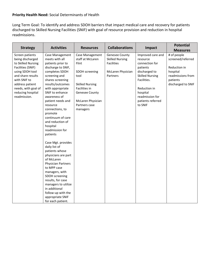### **Priority Health Need:** Social Determinants of Health

Long Term Goal: To identify and address SDOH barriers that impact medical care and recovery for patients discharged to Skilled Nursing Facilities (SNIF) with goal of resource provision and reduction in hospital readmissions.

| <b>Strategy</b>                          | <b>Activities</b>                 | <b>Resources</b>                    | <b>Collaborations</b>                    | Impact                                  | <b>Potential</b>                 |
|------------------------------------------|-----------------------------------|-------------------------------------|------------------------------------------|-----------------------------------------|----------------------------------|
|                                          |                                   |                                     |                                          |                                         | <b>Measures</b>                  |
| Screen patients<br>being discharged      | Case Management<br>meets with all | Case Management<br>staff at McLaren | Genesee County<br><b>Skilled Nursing</b> | Improved care and<br>resource           | # of people<br>screened/referred |
|                                          |                                   | Flint                               | <b>Facilities</b>                        | connection for                          |                                  |
| to Skilled Nursing                       | patients prior to                 |                                     |                                          |                                         |                                  |
| Facilities (SNIF)                        | discharge to SNIF,                |                                     |                                          | patients                                | Reduction in                     |
| using SDOH tool<br>and share results     | completes SDOH                    | SDOH screening<br>tool              | McLaren Physician<br>Partners            | discharged to<br><b>Skilled Nursing</b> | hospital<br>readmissions from    |
| with SNIF to                             | screening and<br>shares screening |                                     |                                          | Facilities.                             | patients                         |
| address patient                          | results/outcomes                  | <b>Skilled Nursing</b>              |                                          |                                         |                                  |
|                                          | with appropriate                  | <b>Facilities in</b>                |                                          | Reduction in                            | discharged to SNIF               |
| needs, with goal of<br>reducing hospital | SNIF to enhance                   | <b>Genesee County</b>               |                                          | hospital                                |                                  |
| readmission.                             | awareness of                      |                                     |                                          | readmission for                         |                                  |
|                                          | patient needs and                 | McLaren Physician                   |                                          | patients referred                       |                                  |
|                                          | resource                          | Partners case                       |                                          | to SNIF                                 |                                  |
|                                          | connections, to                   | managers                            |                                          |                                         |                                  |
|                                          | promote                           |                                     |                                          |                                         |                                  |
|                                          | continuum of care                 |                                     |                                          |                                         |                                  |
|                                          | and reduction of                  |                                     |                                          |                                         |                                  |
|                                          | hospital                          |                                     |                                          |                                         |                                  |
|                                          | readmission for                   |                                     |                                          |                                         |                                  |
|                                          | patients                          |                                     |                                          |                                         |                                  |
|                                          |                                   |                                     |                                          |                                         |                                  |
|                                          | Case Mgt. provides                |                                     |                                          |                                         |                                  |
|                                          | daily list of                     |                                     |                                          |                                         |                                  |
|                                          | patients whose                    |                                     |                                          |                                         |                                  |
|                                          | physicians are part               |                                     |                                          |                                         |                                  |
|                                          | of McLaren                        |                                     |                                          |                                         |                                  |
|                                          | <b>Physician Partners</b>         |                                     |                                          |                                         |                                  |
|                                          | to MPP case                       |                                     |                                          |                                         |                                  |
|                                          | managers, with                    |                                     |                                          |                                         |                                  |
|                                          | SDOH screening                    |                                     |                                          |                                         |                                  |
|                                          | results, for case                 |                                     |                                          |                                         |                                  |
|                                          | managers to utilize               |                                     |                                          |                                         |                                  |
|                                          | in additional                     |                                     |                                          |                                         |                                  |
|                                          | follow-up with the                |                                     |                                          |                                         |                                  |
|                                          | appropriate SNIF                  |                                     |                                          |                                         |                                  |
|                                          | for each patient.                 |                                     |                                          |                                         |                                  |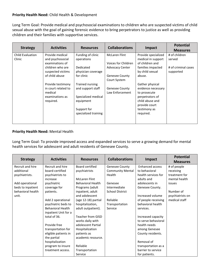#### **Priority Health Need:** Child Health & Development

Long Term Goal: Provide medical and psychosocial examinations to children who are suspected victims of child sexual abuse with the goal of gaining forensic evidence to bring perpetrators to justice as well as providing children and their families with supportive services.

|                         | <b>Activities</b><br><b>Resources</b> | <b>Collaborations</b><br>Impact | <b>Potential</b>           |                     |                     |
|-------------------------|---------------------------------------|---------------------------------|----------------------------|---------------------|---------------------|
| <b>Strategy</b>         |                                       |                                 |                            |                     | <b>Measures</b>     |
| <b>Child Evaluation</b> | Provide medical                       | Funding of clinic               | <b>McLaren Flint</b>       | Provide specialized | # of children       |
| Clinic                  | and psychosocial                      | operations                      |                            | medical in support  | served              |
|                         | examinations of                       |                                 | <b>Voices for Children</b> | of children and     |                     |
|                         | children who are                      | Dedicated                       | <b>Advocacy Center</b>     | families impacted   | # of criminal cases |
|                         | suspected victims                     | physician coverage              |                            | by child sexual     | supported           |
|                         | of child abuse                        | for clinic                      | Genesee County             | abuse.              |                     |
|                         |                                       |                                 | Court System               |                     |                     |
|                         | Provide testimony                     | Trained nursing                 |                            | Gather physical     |                     |
|                         | in court related to                   | and support staff               | <b>Genesee County</b>      | evidence necessary  |                     |
|                         | medical                               |                                 | Law Enforcement            | to prosecute        |                     |
|                         | examinations as                       | Specialized medical             |                            | perpetrators of     |                     |
|                         | required.                             | equipment                       |                            | child abuse and     |                     |
|                         |                                       |                                 |                            | provide court       |                     |
|                         |                                       | Support for                     |                            | testimony as        |                     |
|                         |                                       | specialized training            |                            | required.           |                     |
|                         |                                       |                                 |                            |                     |                     |
|                         |                                       |                                 |                            |                     |                     |

#### **Priority Health Need:** Mental Health

Long Term Goal: To provide improved access and expanded services to serve a growing demand for mental health services for adolescent and adult residents of Genesee County.

| <b>Strategy</b>   | <b>Activities</b>        | <b>Resources</b>         | <b>Collaborations</b>   | Impact                 | <b>Potential</b> |
|-------------------|--------------------------|--------------------------|-------------------------|------------------------|------------------|
|                   |                          |                          |                         |                        | <b>Measures</b>  |
| Recruit and hire  | Recruit and hire         | Board certified          | <b>Genesee County</b>   | <b>Enhanced access</b> | # of people      |
| additional        | board-certified          | psychiatrists            | <b>Community Mental</b> | to behavioral          | receiving        |
| psychiatrists.    | psychiatrists to         |                          | Health                  | health services for    | treatment for    |
|                   | increase                 | <b>McLaren Flint</b>     |                         | adults and             | mental health    |
| Add operational   | psychiatric              | <b>Behavioral Health</b> | Genesee                 | adolescents in         | issues           |
| beds to inpatient | coverage for             | Programs (adult          | Intermediate            | Genesee County.        |                  |
| behavioral health | patients.                | inpatient, adult         | School District         |                        | Number of        |
| unit.             |                          | and adolescent           |                         | Increased volume       | psychiatrists on |
|                   | Add 2 operational        | (age 12-18) partial      | Reliable                | of people receiving    | medical staff    |
|                   | psychiatric beds to      | hospitalization,         | Transportation          | behavioral health      |                  |
|                   | <b>Behavioral Health</b> | adult outpatient).       | Service                 | services.              |                  |
|                   | inpatient Unit for a     |                          |                         |                        |                  |
|                   | total of 36.             | <b>Teacher from GISD</b> |                         | Increased capacity     |                  |
|                   |                          | works daily with         |                         | to serve behavioral    |                  |
|                   | Provide free             | adolescent Partial       |                         | health needs           |                  |
|                   | transportation for       | Hospitalization          |                         | among Genesee          |                  |
|                   | eligible patients in     | patients as              |                         | County residents.      |                  |
|                   | the partial              | academic resource.       |                         |                        |                  |
|                   | hospitalization          |                          |                         | Removal of             |                  |
|                   | program to insure        | Reliable                 |                         | transportation as a    |                  |
|                   | treatment access.        | Transportation           |                         | barrier to service     |                  |
|                   |                          | Service                  |                         | for patients.          |                  |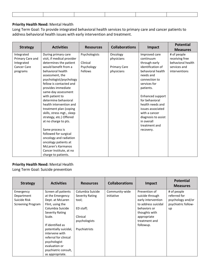#### **Priority Health Need:** Mental Health

Long Term Goal: To provide integrated behavioral health services to primary care and cancer patients to address behavioral health issues with early intervention and treatment.

|                    |                            |                  |                       |                     | <b>Potential</b>  |
|--------------------|----------------------------|------------------|-----------------------|---------------------|-------------------|
| <b>Strategy</b>    | <b>Activities</b>          | <b>Resources</b> | <b>Collaborations</b> | Impact              | <b>Measures</b>   |
| Integrated         | During primary care        | Psychologists    | Oncology              | Improved care       | # of people       |
| Primary Care and   | visit, if medical provider |                  | physicians            | continuum           | receiving free    |
| Integrated         | determines the patient     | Clinical         |                       | through early       | behavioral health |
| <b>Cancer Care</b> | would benefit from a       | Psychology       | <b>Primary Care</b>   | identification of   | services and      |
| programs           | behavioral health          | Fellows          | physicians            | behavioral health   | interventions     |
|                    | assessment, the            |                  |                       | needs and           |                   |
|                    | psychologist/psychology    |                  |                       | connection to       |                   |
|                    | fellow is contacted and    |                  |                       | services for        |                   |
|                    | provides immediate         |                  |                       | patients.           |                   |
|                    | same-day assessment        |                  |                       |                     |                   |
|                    | with patient to            |                  |                       | Enhanced support    |                   |
|                    | determine behavioral       |                  |                       | for behavioral      |                   |
|                    | health intervention and    |                  |                       | health needs and    |                   |
|                    | treatment plan (coping     |                  |                       | issues associated   |                   |
|                    | skills, stress mgt., sleep |                  |                       | with a cancer       |                   |
|                    | strategy, etc.) Offered    |                  |                       | diagnosis to assist |                   |
|                    | at no charge to pts.       |                  |                       | in overall          |                   |
|                    |                            |                  |                       | treatment and       |                   |
|                    | Same process is            |                  |                       | recovery.           |                   |
|                    | followed for surgical      |                  |                       |                     |                   |
|                    | oncology and radiation     |                  |                       |                     |                   |
|                    | oncology patients at       |                  |                       |                     |                   |
|                    | McLaren's Karmanos         |                  |                       |                     |                   |
|                    | Cancer Institute, at no    |                  |                       |                     |                   |
|                    | charge to patients.        |                  |                       |                     |                   |

#### **Priority Health Need:** Mental Health

Long Term Goal: Suicide prevention

| <b>Strategy</b>          | <b>Activities</b>     | <b>Resources</b> | <b>Collaborations</b> | Impact              | <b>Potential</b><br><b>Measures</b> |
|--------------------------|-----------------------|------------------|-----------------------|---------------------|-------------------------------------|
| Emergency                | Screen all patients   | Columbia Suicide | Community-wide        | Prevention of       | # of people                         |
| Department               | at the Emergency      | Severity Rating  | initiative            | suicide through     | referred for                        |
| Suicide Risk             | Dept. at McLaren      | tool;            |                       | early intervention  | psychology and/or                   |
| <b>Screening Program</b> | Flint, using the      |                  |                       | to address suicidal | psychiatric follow-                 |
|                          | Columbia Suicide      | ED staff;        |                       | behaviors or        | up                                  |
|                          | Severity Rating       |                  |                       | thoughts with       |                                     |
|                          | Scale.                | Clinical         |                       | appropriate         |                                     |
|                          |                       | psychologists    |                       | treatment and       |                                     |
|                          | If identified as      |                  |                       | followup.           |                                     |
|                          | potentially suicidal, | Psychiatrists    |                       |                     |                                     |
|                          | intervene with        |                  |                       |                     |                                     |
|                          | referral for clinical |                  |                       |                     |                                     |
|                          | psychologist          |                  |                       |                     |                                     |
|                          | evaluation or         |                  |                       |                     |                                     |
|                          | psychiatric consult,  |                  |                       |                     |                                     |
|                          | as appropriate.       |                  |                       |                     |                                     |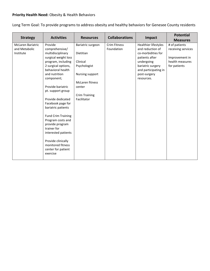## **Priority Health Need:** Obesity & Health Behaviors

Long Term Goal: To provide programs to address obesity and healthy behaviors for Genesee County residents

| <b>Strategy</b>   | <b>Activities</b>           | <b>Resources</b>       | <b>Collaborations</b> | Impact                     | <b>Potential</b><br><b>Measures</b> |
|-------------------|-----------------------------|------------------------|-----------------------|----------------------------|-------------------------------------|
| McLaren Bariatric | Provide                     | Bariatric surgeon      | <b>Crim Fitness</b>   | Healthier lifestyles       | # of patients                       |
| and Metabolic     | comprehensive/              |                        | Foundation            | and reduction of           | receiving services                  |
| Institute         | multidisciplinary           | Dietitian              |                       | co-morbidities for         |                                     |
|                   | surgical weight loss        |                        |                       | patients after             | Improvement in                      |
|                   | program, including          | Clinical               |                       | undergoing                 | health measures                     |
|                   | 2 surgical options,         | Psychologist           |                       | bariatric surgery          | for patients                        |
|                   | behavioral health           |                        |                       | and participating in       |                                     |
|                   | and nutrition<br>component; | Nursing support        |                       | post-surgery<br>resources. |                                     |
|                   |                             | <b>McLaren fitness</b> |                       |                            |                                     |
|                   | Provide bariatric           | center                 |                       |                            |                                     |
|                   | pt. support group           |                        |                       |                            |                                     |
|                   |                             | <b>Crim Training</b>   |                       |                            |                                     |
|                   | Provide dedicated           | Facilitator            |                       |                            |                                     |
|                   | Facebook page for           |                        |                       |                            |                                     |
|                   | bariatric patients          |                        |                       |                            |                                     |
|                   |                             |                        |                       |                            |                                     |
|                   | <b>Fund Crim Training</b>   |                        |                       |                            |                                     |
|                   | Program costs and           |                        |                       |                            |                                     |
|                   | provide program             |                        |                       |                            |                                     |
|                   | trainer for                 |                        |                       |                            |                                     |
|                   | interested patients         |                        |                       |                            |                                     |
|                   | Provide clinically          |                        |                       |                            |                                     |
|                   | monitored fitness           |                        |                       |                            |                                     |
|                   | center for patient          |                        |                       |                            |                                     |
|                   | exercise                    |                        |                       |                            |                                     |
|                   |                             |                        |                       |                            |                                     |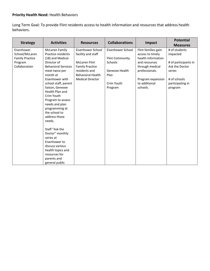## **Priority Health Need:** Health Behaviors

Long Term Goal: To provide Flint residents access to health information and resources that address health behaviors.

|                        |                              |                          |                        |                     | <b>Potential</b>     |
|------------------------|------------------------------|--------------------------|------------------------|---------------------|----------------------|
| <b>Strategy</b>        | <b>Activities</b>            | <b>Resources</b>         | <b>Collaborations</b>  | Impact              | <b>Measures</b>      |
| Eisenhower             | <b>McLaren Family</b>        | Eisenhower School        | Eisenhower School      | Flint families gain | # of students        |
| School/McLaren         | Practice residents           | facility and staff       |                        | access to timely    | impacted             |
| <b>Family Practice</b> | (18) and Medical             |                          | <b>Flint Community</b> | health information  |                      |
| Program                | Director of                  | <b>McLaren Flint</b>     | Schools                | and resources       | # of participants in |
| Collaboration          | <b>Behavioral Services</b>   | <b>Family Practice</b>   |                        | through medical     | Ask the Doctor       |
|                        | meet twice per               | residents and            | Genesee Health         | professionals.      | series               |
|                        | month at                     | <b>Behavioral Health</b> | Plan                   |                     |                      |
|                        | Eisenhower with              | <b>Medical Director</b>  |                        | Program expansion   | # of schools         |
|                        | school staff, parent         |                          | Crim Youth             | to additional       | participating in     |
|                        | liaison, Genesee             |                          | Program                | schools.            | program              |
|                        | Health Plan and              |                          |                        |                     |                      |
|                        | Crim Youth                   |                          |                        |                     |                      |
|                        | Program to assess            |                          |                        |                     |                      |
|                        | needs and plan               |                          |                        |                     |                      |
|                        | programming at               |                          |                        |                     |                      |
|                        | the school to                |                          |                        |                     |                      |
|                        | address those                |                          |                        |                     |                      |
|                        | needs.                       |                          |                        |                     |                      |
|                        | Staff "Ask the               |                          |                        |                     |                      |
|                        |                              |                          |                        |                     |                      |
|                        | Doctor" monthly<br>series at |                          |                        |                     |                      |
|                        | Eisenhower to                |                          |                        |                     |                      |
|                        |                              |                          |                        |                     |                      |
|                        | discuss various              |                          |                        |                     |                      |
|                        | health topics and            |                          |                        |                     |                      |
|                        | resources for                |                          |                        |                     |                      |
|                        | parents and                  |                          |                        |                     |                      |
|                        | general public               |                          |                        |                     |                      |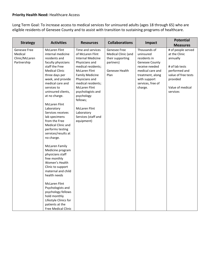Long Term Goal: To increase access to medical services for uninsured adults (ages 18 through 65) who are eligible residents of Genesee County and to assist with transition to sustaining programs of healthcare.

| <b>Strategy</b>                                          | <b>Activities</b>                                                                                                                                                                                                                                                                                                                                                                                                                                                                                                                                                                                                                                                                                                                                          | <b>Resources</b>                                                                                                                                                                                                                                                                                                                                      | <b>Collaborations</b>                                                                          | Impact                                                                                                                                                                | <b>Potential</b><br><b>Measures</b>                                                                                                                   |
|----------------------------------------------------------|------------------------------------------------------------------------------------------------------------------------------------------------------------------------------------------------------------------------------------------------------------------------------------------------------------------------------------------------------------------------------------------------------------------------------------------------------------------------------------------------------------------------------------------------------------------------------------------------------------------------------------------------------------------------------------------------------------------------------------------------------------|-------------------------------------------------------------------------------------------------------------------------------------------------------------------------------------------------------------------------------------------------------------------------------------------------------------------------------------------------------|------------------------------------------------------------------------------------------------|-----------------------------------------------------------------------------------------------------------------------------------------------------------------------|-------------------------------------------------------------------------------------------------------------------------------------------------------|
| Genesee Free<br>Medical<br>Clinic/McLaren<br>Partnership | <b>McLaren Flint</b><br>internal medicine<br>residents and<br>faculty physicians<br>staff the Free<br><b>Medical Clinic</b><br>three days per<br>week, and provide<br>medical care and<br>services to<br>uninsured clients,<br>at no charge.<br><b>McLaren Flint</b><br>Laboratory<br>Services receives<br>lab specimens<br>from the Free<br><b>Medical Clinic and</b><br>performs testing<br>services/results at<br>no charge.<br><b>McLaren Family</b><br>Medicine program<br>physicians staff<br>free monthly<br>Women's Health<br>Clinic to support<br>maternal and child<br>health needs<br><b>McLaren Flint</b><br>Psychologists and<br>psychology fellows<br>hold monthly<br>Lifestyle Clinics for<br>patients at the<br><b>Free Medical Clinic</b> | Time and services<br>of McLaren Flint<br><b>Internal Medicine</b><br>Physicians and<br>medical residents;<br><b>McLaren Flint</b><br><b>Family Medicine</b><br>Physicians and<br>medical residents;<br><b>McLaren Flint</b><br>psychologists and<br>psychology<br>fellows;<br><b>McLaren Flint</b><br>Laboratory<br>Services (staff and<br>equipment) | Genesee Free<br>Medical Clinic (and<br>their supporting<br>partners)<br>Genesee Health<br>Plan | Thousands of<br>uninsured<br>residents in<br>Genesee County<br>receive needed<br>medical care and<br>treatment, along<br>with support<br>services, free of<br>charge. | # of people served<br>at the Clinic<br>annually<br># of lab tests<br>performed and<br>value of free tests<br>provided<br>Value of medical<br>services |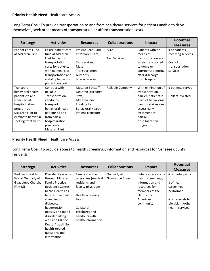Long Term Goal: To provide transportation to and from healthcare services for patients unable to drive themselves, seek other means of transportation or afford transportation costs

| <b>Strategy</b>          | <b>Activities</b>    | <b>Resources</b>         | <b>Collaborations</b> | Impact               | <b>Potential</b>   |
|--------------------------|----------------------|--------------------------|-----------------------|----------------------|--------------------|
|                          |                      |                          |                       |                      | <b>Measures</b>    |
| <b>Patient Care Fund</b> | Utilize patient care | <b>Patient Care Fund</b> | <b>MTA</b>            | Patients with no     | # of patients      |
| at McLaren Flint         | fund at McLaren      | at McLaren Flint         |                       | means of             | receiving services |
|                          | Flint to pay for     |                          | <b>Taxi Services</b>  | transportation are   |                    |
|                          | transportation       | Taxi services;           |                       | safely transported   | Cost of            |
|                          | costs for patients   | Mass                     |                       | to home or           | transportation     |
|                          | with no means of     | Transportation           |                       | appropriate setting  | services           |
|                          | transportation and   | Authority                |                       | after discharge      |                    |
|                          | inability to pay for | buses/services           |                       | from hospital.       |                    |
|                          | public transport     |                          |                       |                      |                    |
| Transport                | Contract with        | McLaren ED staff;        | Reliable Company      | With elimination of  | # patients served  |
| behavioral health        | Reliable             | McLaren Discharge        |                       | transportation       |                    |
| patients to and          | Transportation       | Staff;                   |                       | barrier, patients in | Dollars invested   |
| from partial             | vendor to            | <b>McLaren Flint</b>     |                       | need of behavioral   |                    |
| hospitalization          | transport            | Funding for              |                       | health services can  |                    |
| program at               | behavioral health    | <b>Behavioral Health</b> |                       | access daily         |                    |
| McLaren Flint to         | patients to and      | <b>Patient Transport</b> |                       | treatment in         |                    |
| eliminate barrier in     | from partial         |                          |                       | partial              |                    |
| seeking treatment.       | hospitalization      |                          |                       | hospitalization      |                    |
|                          | program at           |                          |                       | program.             |                    |
|                          | <b>McLaren Flint</b> |                          |                       |                      |                    |

#### **Priority Health Need:** Healthcare Access

Long Term Goal: To provide access to health screenings, information and resources for Genesee County residents

| <b>Strategy</b>        | <b>Activities</b>       | <b>Resources</b>       | <b>Collaborations</b> | Impact             | <b>Potential</b>  |
|------------------------|-------------------------|------------------------|-----------------------|--------------------|-------------------|
|                        |                         |                        |                       |                    | <b>Measures</b>   |
| <b>Wellness Health</b> | Provide physicians      | <b>Family Practice</b> | Our Lady of           | Enhanced access to | # of participants |
| Fair at Our Lady of    | through McLaren         | physicians (medical    | Guadalupe Church      | health screenings, |                   |
| Guadalupe Church,      | <b>Family Practice</b>  | residents and          |                       | information and    | # of health       |
| Flint MI               | <b>Residency Center</b> | faculty physicians)    |                       | resources for      | screenings        |
|                        | to the Health Fair      |                        |                       | members of the     | performed         |
|                        | to offer free health    | Health screening       |                       | Flint Latino       |                   |
|                        | screenings in           | tools                  |                       | American           | # of referrals to |
|                        | diabetes,               |                        |                       | community          | physicians/other  |
|                        | hypertension,           | Collateral             |                       |                    | health services   |
|                        | obesity and mood        | brochures and          |                       |                    |                   |
|                        | disorder, along         | handouts with          |                       |                    |                   |
|                        | with an "Ask the        | health information     |                       |                    |                   |
|                        | Doctor" booth for       |                        |                       |                    |                   |
|                        | health-related          |                        |                       |                    |                   |
|                        | questions and           |                        |                       |                    |                   |
|                        | information             |                        |                       |                    |                   |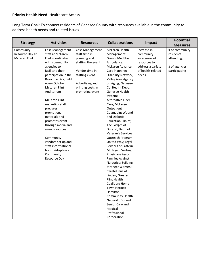Long Term Goal: To connect residents of Genesee County with resources available in the community to address health needs and related issues

| <b>Strategy</b>                                | <b>Activities</b>                                                                                                                                                                                                                                                                                                                                                                                                                                                                  | <b>Resources</b>                                                                                                                                                      | <b>Collaborations</b>                                                                                                                                                                                                                                                                                                                                                                                                                                                                                                                                                                                                                                                                                                                                                                                         | Impact                                                                                                       | <b>Potential</b><br><b>Measures</b>                                         |
|------------------------------------------------|------------------------------------------------------------------------------------------------------------------------------------------------------------------------------------------------------------------------------------------------------------------------------------------------------------------------------------------------------------------------------------------------------------------------------------------------------------------------------------|-----------------------------------------------------------------------------------------------------------------------------------------------------------------------|---------------------------------------------------------------------------------------------------------------------------------------------------------------------------------------------------------------------------------------------------------------------------------------------------------------------------------------------------------------------------------------------------------------------------------------------------------------------------------------------------------------------------------------------------------------------------------------------------------------------------------------------------------------------------------------------------------------------------------------------------------------------------------------------------------------|--------------------------------------------------------------------------------------------------------------|-----------------------------------------------------------------------------|
| Community<br>Resource Day at<br>McLaren Flint. | Case Management<br>staff at McLaren<br>Flint coordinates<br>with community<br>agencies to<br>facilitate their<br>participation in the<br>Resource Day, held<br>every October in<br><b>McLaren Flint</b><br>Auditorium<br><b>McLaren Flint</b><br>marketing staff<br>prepares<br>promotional<br>materials and<br>promotes event<br>through media and<br>agency sources<br>Community<br>vendors set up and<br>staff informational<br>booths/displays at<br>Community<br>Resource Day | Case Management<br>staff time in<br>planning and<br>staffing the event<br>Vendor time in<br>staffing event<br>Advertising and<br>printing costs in<br>promoting event | McLaren Health<br>Management<br>Group; MedStar<br>Ambulance;<br><b>McLaren Advance</b><br>Care Planning;<br>Disability Network;<br>Valley Area Agency<br>on Aging; Genesee<br>Co. Health Dept.;<br>Genesee Health<br>System;<br>Alternative Elder<br>Care; McLaren<br>Outpatient<br>Coumadin; Wound<br>and Diabetic<br><b>Education Clinics;</b><br>The Lodges of<br>Durand; Dept. of<br>Veteran's Services<br>Outreach Program;<br>United Way; Legal<br>Services of Eastern<br>Michigan; Visiting<br>Physicians Assoc.;<br><b>Families Against</b><br>Narcotics; Building<br>Stronger Women;<br>Caretel Inns of<br>Linden; Greater<br>Flint Health<br>Coalition; Home<br>Town Heroes;<br>Hamilton<br><b>Community Health</b><br>Network; Durand<br>Senior Care and<br>Medical<br>Professional<br>Corporation | Increase in<br>community<br>awareness of<br>resources to<br>address a variety<br>of health-related<br>needs. | # of community<br>residents<br>attending;<br># of agencies<br>participating |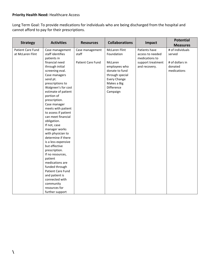Long Term Goal: To provide medications for individuals who are being discharged from the hospital and cannot afford to pay for their prescriptions.

| <b>Strategy</b>   | <b>Activities</b>        | <b>Resources</b>         | <b>Collaborations</b> | Impact            | <b>Potential</b> |
|-------------------|--------------------------|--------------------------|-----------------------|-------------------|------------------|
|                   |                          |                          |                       |                   | <b>Measures</b>  |
| Patient Care Fund | Case management          | Case management          | <b>McLaren Flint</b>  | Patients have     | # of individuals |
| at McLaren Flint  | staff identifies         | staff                    | Foundation            | access to needed  | served           |
|                   | patients in              |                          |                       | medications to    |                  |
|                   | financial need           | <b>Patient Care Fund</b> | McLaren               | support treatment | # of dollars in  |
|                   | through initial          |                          | employees who         | and recovery.     | donated          |
|                   | screening eval.          |                          | donate to fund        |                   | medications      |
|                   | Case managers            |                          | through special       |                   |                  |
|                   | send pt.                 |                          | <b>Every Change</b>   |                   |                  |
|                   | prescriptions to         |                          | Makes a Big           |                   |                  |
|                   | Walgreen's for cost      |                          | Difference            |                   |                  |
|                   | estimate of patient      |                          | Campaign              |                   |                  |
|                   | portion of               |                          |                       |                   |                  |
|                   | prescription.            |                          |                       |                   |                  |
|                   | Case manager             |                          |                       |                   |                  |
|                   | meets with patient       |                          |                       |                   |                  |
|                   | to assess if patient     |                          |                       |                   |                  |
|                   | can meet financial       |                          |                       |                   |                  |
|                   | obligation.              |                          |                       |                   |                  |
|                   | If not, case             |                          |                       |                   |                  |
|                   | manager works            |                          |                       |                   |                  |
|                   | with physician to        |                          |                       |                   |                  |
|                   | determine if there       |                          |                       |                   |                  |
|                   | is a less expensive      |                          |                       |                   |                  |
|                   | but effective            |                          |                       |                   |                  |
|                   | prescription.            |                          |                       |                   |                  |
|                   | If no resources,         |                          |                       |                   |                  |
|                   | patient                  |                          |                       |                   |                  |
|                   | medications are          |                          |                       |                   |                  |
|                   | funded through           |                          |                       |                   |                  |
|                   | <b>Patient Care Fund</b> |                          |                       |                   |                  |
|                   | and patient is           |                          |                       |                   |                  |
|                   | connected with           |                          |                       |                   |                  |
|                   | community                |                          |                       |                   |                  |
|                   | resources for            |                          |                       |                   |                  |
|                   | further support          |                          |                       |                   |                  |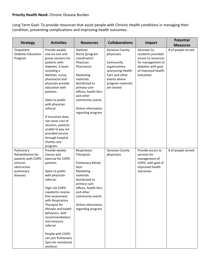## **Priority Health Need:** Chronic Disease Burden

Long Term Goal: To provide resources that assist people with Chronic Health conditions in managing their condition, preventing complications and improving health outcomes.

| <b>Strategy</b>                                                                                           | <b>Activities</b>                                                                                                                                                                                                                                                                                                                                                                                               | <b>Resources</b>                                                                                                                                                                                                                        | <b>Collaborations</b>                                                                                                                                 | Impact                                                                                                                                 | <b>Potential</b><br><b>Measures</b> |
|-----------------------------------------------------------------------------------------------------------|-----------------------------------------------------------------------------------------------------------------------------------------------------------------------------------------------------------------------------------------------------------------------------------------------------------------------------------------------------------------------------------------------------------------|-----------------------------------------------------------------------------------------------------------------------------------------------------------------------------------------------------------------------------------------|-------------------------------------------------------------------------------------------------------------------------------------------------------|----------------------------------------------------------------------------------------------------------------------------------------|-------------------------------------|
| Outpatient<br><b>Diabetes Education</b><br>Program                                                        | Provide weekly<br>one-on-one and<br>group sessions for<br>patients with<br>diabetes. A team<br>including a<br>dietitian, nurse,<br>pharmacist and<br>physician provide<br>education with<br>patients.<br>Open to public<br>with physician<br>referral.<br>If insurance does<br>not cover cost of<br>sessions, patients<br>unable to pay are<br>provided service<br>through hospital<br>charity care<br>program. | Dietitian<br>Nurse (program<br>coordinator)<br>Physician<br>Pharmacist<br>Marketing<br>materials<br>distributed to<br>primary care<br>offices, health fairs<br>and other<br>community events<br>Online information<br>regarding program | Genesee County<br>physicians<br>Community<br>organizations<br>sponsoring Health<br>Fairs and other<br>events where<br>program materials<br>are shared | Genesee Co.<br>residents provided<br>access to resources<br>for management of<br>diabetes with goal<br>of improved health<br>outcomes. | # of people served                  |
| Pulmonary<br>Rehabilitation for<br>patients with COPD<br>(chronic<br>obstructive<br>pulmonary<br>disease) | Provide weekly<br>classes and<br>exercise for COPD<br>patients.<br>Open to public<br>with physician<br>referral.<br>High risk COPD<br>inpatients receive<br>free assessment<br>with Respiratory<br>Therapist for<br>lifestyle and health<br>behaviors, with<br>recommendations<br>and resource<br>referral.<br>People with COPD<br>can join Pulmonary<br>Gym for monitored<br>workout.                          | Respiratory<br>Therapists<br>Pulmonary Rehab<br>Gym<br>Marketing<br>materials<br>distributed to<br>primary care<br>offices, health fairs<br>and other<br>community events<br>Online information<br>regarding program                    | Genesee County<br>physicians                                                                                                                          | Provide access to<br>services for<br>management of<br>COPD, with goal of<br>improved health<br>outcomes.                               | # of people served                  |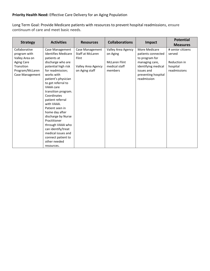## **Priority Health Need:** Effective Care Delivery for an Aging Population

Long Term Goal: Provide Medicare patients with resources to prevent hospital readmissions, ensure continuum of care and meet basic needs.

|                   | <b>Activities</b>          |                         | <b>Collaborations</b> |                     | <b>Potential</b>  |
|-------------------|----------------------------|-------------------------|-----------------------|---------------------|-------------------|
| <b>Strategy</b>   |                            | <b>Resources</b>        |                       | Impact              | <b>Measures</b>   |
| Collaborative     | Case Management            | Case Management         | Valley Area Agency    | More Medicare       | # senior citizens |
| program with      | <b>Identifies Medicare</b> | <b>Staff at McLaren</b> | on Aging              | patients connected  | served            |
| Valley Area on    | patients at                | Flint                   |                       | to program for      |                   |
| <b>Aging Care</b> | discharge who are          |                         | <b>McLaren Flint</b>  | managing care,      | Reduction in      |
| Transition        | potential high risk        | Valley Area Agency      | medical staff         | identifying medical | hospital          |
| Program/McLaren   | for readmission;           | on Aging staff          | members               | issues and          | readmissions      |
| Case Management   | works with                 |                         |                       | preventing hospital |                   |
|                   | patient's physician        |                         |                       | readmission         |                   |
|                   | to get referral to         |                         |                       |                     |                   |
|                   | VAAA care                  |                         |                       |                     |                   |
|                   | transition program.        |                         |                       |                     |                   |
|                   | Coordinates                |                         |                       |                     |                   |
|                   | patient referral           |                         |                       |                     |                   |
|                   | with VAAA.                 |                         |                       |                     |                   |
|                   | Patient seen in            |                         |                       |                     |                   |
|                   | home day after             |                         |                       |                     |                   |
|                   | discharge by Nurse         |                         |                       |                     |                   |
|                   | Practitioner               |                         |                       |                     |                   |
|                   | through VAAA who           |                         |                       |                     |                   |
|                   | can identify/treat         |                         |                       |                     |                   |
|                   | medical issues and         |                         |                       |                     |                   |
|                   | connect patient to         |                         |                       |                     |                   |
|                   | other needed               |                         |                       |                     |                   |
|                   | resources.                 |                         |                       |                     |                   |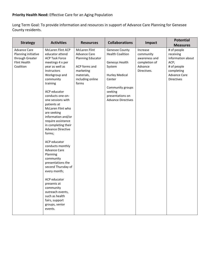# **Priority Health Need:** Effective Care for an Aging Population

Long Term Goal: To provide information and resources in support of Advance Care Planning for Genesee County residents.

| <b>Strategy</b>                                                                            | <b>Activities</b>                                                                                                                                                                                                                                                                                                                                                                                                                                                                                                                                                                                                                                                  | <b>Resources</b>                                                                                                                                 | <b>Collaborations</b>                                                                                                                                                                           | Impact                                                                            | <b>Potential</b>                                                                                                                                  |
|--------------------------------------------------------------------------------------------|--------------------------------------------------------------------------------------------------------------------------------------------------------------------------------------------------------------------------------------------------------------------------------------------------------------------------------------------------------------------------------------------------------------------------------------------------------------------------------------------------------------------------------------------------------------------------------------------------------------------------------------------------------------------|--------------------------------------------------------------------------------------------------------------------------------------------------|-------------------------------------------------------------------------------------------------------------------------------------------------------------------------------------------------|-----------------------------------------------------------------------------------|---------------------------------------------------------------------------------------------------------------------------------------------------|
| <b>Advance Care</b><br>Planning initiative<br>through Greater<br>Flint Health<br>Coalition | McLaren Flint ACP<br>educator attend<br><b>ACP Task Force</b><br>meetings 4 x per<br>year as well as<br>Instructors<br>Workgroup and<br>community<br>training<br>ACP educator<br>conducts one-on-<br>one sessions with<br>patients at<br>McLaren Flint who<br>are seeking<br>information and/or<br>require assistance<br>in completing their<br><b>Advance Directive</b><br>forms;<br>ACP educator<br>conducts monthly<br><b>Advance Care</b><br>Planning<br>community<br>presentations the<br>second Thursday of<br>every month;<br>ACP educator<br>presents at<br>community<br>outreach events,<br>such as health<br>fairs, support<br>groups, senior<br>events. | <b>McLaren Flint</b><br><b>Advance Care</b><br><b>Planning Educator</b><br>ACP forms and<br>marketing<br>materials,<br>including online<br>forms | <b>Genesee County</b><br><b>Health Coalition</b><br>Genesys Health<br>System<br><b>Hurley Medical</b><br>Center<br>Community groups<br>seeking<br>presentations on<br><b>Advance Directives</b> | Increase<br>community<br>awareness and<br>completion of<br>Advance<br>Directives. | <b>Measures</b><br># of people<br>receiving<br>information about<br>ACP;<br># of people<br>completing<br><b>Advance Care</b><br><b>Directives</b> |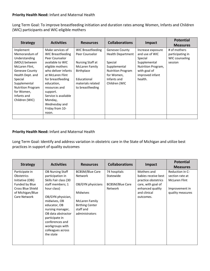### **Priority Health Need:** Infant and Maternal Health

Long Term Goal: To improve breastfeeding initiation and duration rates among Women, Infants and Children (WIC) participants and WIC-eligible mothers

| <b>Strategy</b>                                                                                                                                                                                                                   | <b>Activities</b>                                                                                                                                                                                                                                                                          | <b>Resources</b>                                                                                                                                       | <b>Collaborations</b>                                                                                                                                  | Impact                                                                                                                             | <b>Potential</b><br><b>Measures</b>                           |
|-----------------------------------------------------------------------------------------------------------------------------------------------------------------------------------------------------------------------------------|--------------------------------------------------------------------------------------------------------------------------------------------------------------------------------------------------------------------------------------------------------------------------------------------|--------------------------------------------------------------------------------------------------------------------------------------------------------|--------------------------------------------------------------------------------------------------------------------------------------------------------|------------------------------------------------------------------------------------------------------------------------------------|---------------------------------------------------------------|
| Implement<br>Memorandum of<br>Understanding<br>(MOU) between<br>McLaren Flint,<br><b>Genesee County</b><br>Health Dept. and<br>Special<br>Supplemental<br><b>Nutrition Program</b><br>for Women,<br>Infants and<br>Children (WIC) | Make services of<br>WIC Breastfeeding<br>Peer Counselor<br>available to WIC<br>eligible mothers<br>who deliver infants<br>at McLaren Flint<br>for breastfeeding<br>education,<br>resources and<br>support.<br>Service is available<br>Monday,<br>Wednesday and<br>Friday from 10-<br>noon. | WIC Breastfeeding<br>Peer Counselor<br>Nursing Staff at<br>McLaren Family<br><b>Birthplace</b><br>Educational<br>materials related<br>to breastfeeding | <b>Genesee County</b><br><b>Health Department</b><br>Special<br>Supplemental<br><b>Nutrition Program</b><br>for Women,<br>Infants and<br>Children (WIC | Increase exposure<br>and use of WIC<br>Special<br>Supplemental<br>Nutrition Program,<br>with goal of<br>improved infant<br>health. | # of mothers<br>participating in<br>WIC counseling<br>session |
|                                                                                                                                                                                                                                   |                                                                                                                                                                                                                                                                                            |                                                                                                                                                        |                                                                                                                                                        |                                                                                                                                    |                                                               |

## **Priority Health Need:** Infant and Maternal Health

Long Term Goal: Identify and address variation in obstetric care in the State of Michigan and utilize best practices in support of quality outcomes

| <b>Strategy</b>                                                                                                                           | <b>Activities</b>                                                                                                                                                                                                                                                                                | <b>Resources</b>                                                                                                                                                   | <b>Collaborations</b>                                                 | Impact                                                                                                                           | <b>Potential</b><br><b>Measures</b>                                                              |
|-------------------------------------------------------------------------------------------------------------------------------------------|--------------------------------------------------------------------------------------------------------------------------------------------------------------------------------------------------------------------------------------------------------------------------------------------------|--------------------------------------------------------------------------------------------------------------------------------------------------------------------|-----------------------------------------------------------------------|----------------------------------------------------------------------------------------------------------------------------------|--------------------------------------------------------------------------------------------------|
| Participate in<br><b>Obstetrics</b><br>Initiative (OBI)<br>Funded by Blue<br><b>Cross Blue Shield</b><br>of Michigan/Blue<br>Care Network | <b>OB Nursing Staff</b><br>participation in<br>Skills Fair class (30<br>staff members; 1<br>hour class)<br>OB/GYN physician,<br>midwives, OB<br>educator, OB<br>nursing manager,<br>OB data abstractor<br>participate in<br>conferences and<br>workgroups with<br>colleagues across<br>the state | <b>BCBSM/Blue Care</b><br><b>Network</b><br>OB/GYN physicians<br><b>Midwives</b><br><b>McLaren Family</b><br><b>Birthing Center</b><br>staff and<br>administrators | 74 hospitals<br>Statewide<br><b>BCBSM/Blue Care</b><br><b>Network</b> | Mothers and<br>babies receive best<br>practice obstetrics<br>care, with goal of<br>enhanced quality<br>and clinical<br>outcomes. | Reduction in C-<br>section rate at<br><b>McLaren Flint</b><br>Improvement in<br>quality measures |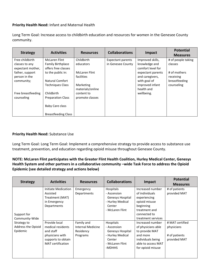#### **Priority Health Need:** Infant and Maternal Health

Long Term Goal: Increase access to childbirth education and resources for women in the Genesee County community.

| <b>Strategy</b>                                                     | <b>Activities</b>                                                                              | <b>Resources</b>                                  | <b>Collaborations</b>                         | Impact                                                                                       | <b>Potential</b><br><b>Measures</b>                      |
|---------------------------------------------------------------------|------------------------------------------------------------------------------------------------|---------------------------------------------------|-----------------------------------------------|----------------------------------------------------------------------------------------------|----------------------------------------------------------|
| Free childbirth<br>classes to any                                   | <b>McLaren Flint</b><br><b>Family Birthplace</b>                                               | Childbirth<br>educators                           | <b>Expectant parents</b><br>in Genesee County | Improved skills,<br>knowledge and                                                            | # of people taking<br>classes                            |
| expectant mother,<br>father, support<br>person in the<br>community; | offers free classes<br>to the public in:<br>Natural Comfort<br><b>Techniques Class</b>         | <b>McLaren Flint</b><br>facilities<br>Marketing   |                                               | comfort level for<br>expectant parents<br>and caregivers,<br>with goal of<br>improved infant | # of mothers<br>receiving<br>breastfeeding<br>counseling |
| Free breastfeeding<br>counseling                                    | Childbirth<br><b>Preparation Class</b><br><b>Baby Care class</b><br><b>Breastfeeding Class</b> | materials/online<br>content to<br>promote classes |                                               | health and<br>wellbeing.                                                                     |                                                          |

#### **Priority Health Need:** Substance Use

Long Term Goal: Long Term Goal: Implement a comprehensive strategy to provide access to substance use treatment, prevention, and education regarding opioid misuse throughout Genesee County.

### **NOTE: McLaren Flint participates with the Greater Flint Health Coalition, Hurley Medical Center, Genesys Health System and other partners in a collaborative community –wide Task Force to address the Opioid Epidemic (see detailed strategy and actions below)**

| <b>Strategy</b>                               | <b>Activities</b>                                                                                                    | <b>Resources</b>                                         | <b>Collaborations</b>                                                                                   | Impact                                                                                                                                  | <b>Potential</b><br><b>Measures</b>                            |
|-----------------------------------------------|----------------------------------------------------------------------------------------------------------------------|----------------------------------------------------------|---------------------------------------------------------------------------------------------------------|-----------------------------------------------------------------------------------------------------------------------------------------|----------------------------------------------------------------|
| Support for<br>Community-Wide                 | Initiate Medication<br>Assisted<br>Treatment (MAT)<br>in Emergency<br>Departments                                    | Emergency<br>Departments                                 | Hospitals<br>- Ascension<br>Genesys Hospital<br>- Hurley Medical<br>Center<br>- McLaren Flint           | Increased number<br>of individuals<br>experiencing<br>opioid misuse<br>beginning<br>treatment and<br>connected to<br>treatment services | # of patients<br>provided MAT                                  |
| Strategy to<br>Address the Opioid<br>Epidemic | Provide local<br>medical residents<br>and staff<br>physicians with<br>supports to obtain<br><b>MAT</b> certification | Family and<br>Internal Medicine<br>Residency<br>Programs | Hospitals<br>- Ascension<br>Genesys Hospital<br>- Hurley Medical<br>Center<br>- McLaren Flint<br>-MDHHS | Increased number<br>of physicians able<br>to provide MAT<br>and more<br>individuals being<br>able to access MAT<br>for opioid misuse    | # MAT certified<br>physicians<br># of patients<br>provided MAT |